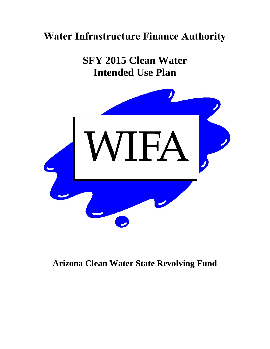# **Water Infrastructure Finance Authority**

**SFY 2015 Clean Water Intended Use Plan**



## **Arizona Clean Water State Revolving Fund**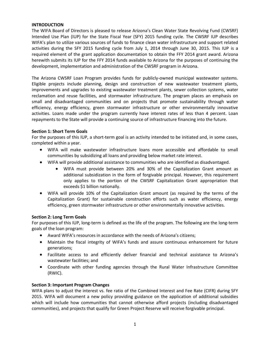## **INTRODUCTION**

The WIFA Board of Directors is pleased to release Arizona's Clean Water State Revolving Fund (CWSRF) Intended Use Plan (IUP) for the State Fiscal Year (SFY) 2015 funding cycle. The CWSRF IUP describes WIFA's plan to utilize various sources of funds to finance clean water infrastructure and support related activities during the SFY 2015 funding cycle from July 1, 2014 through June 30, 2015. This IUP is a required element of the grant application documentation to obtain the FFY 2014 grant award. Arizona herewith submits its IUP for the FFY 2014 funds available to Arizona for the purposes of continuing the development, implementation and administration of the CWSRF program in Arizona.

The Arizona CWSRF Loan Program provides funds for publicly-owned municipal wastewater systems. Eligible projects include planning, design and construction of new wastewater treatment plants, improvements and upgrades to existing wastewater treatment plants, sewer collection systems, water reclamation and reuse facilities, and stormwater infrastructure. The program places an emphasis on small and disadvantaged communities and on projects that promote sustainability through water efficiency, energy efficiency, green stormwater infrastructure or other environmentally innovative activities. Loans made under the program currently have interest rates of less than 4 percent. Loan repayments to the State will provide a continuing source of infrastructure financing into the future.

## **Section 1: Short Term Goals**

For the purposes of this IUP, a short-term goal is an activity intended to be initiated and, in some cases, completed within a year.

- WIFA will make wastewater infrastructure loans more accessible and affordable to small communities by subsidizing all loans and providing below market rate interest.
- WIFA will provide additional assistance to communities who are identified as disadvantaged.
	- WIFA must provide between 20% and 30% of the Capitalization Grant amount as additional subsidization in the form of forgivable principal. However, this requirement only applies to the portion of the CWSRF Capitalization Grant appropriation that exceeds \$1 billion nationally.
- WIFA will provide 10% of the Capitalization Grant amount (as required by the terms of the Capitalization Grant) for sustainable construction efforts such as water efficiency, energy efficiency, green stormwater infrastructure or other environmentally innovative activities.

## **Section 2: Long Term Goals**

For purposes of this IUP, long-term is defined as the life of the program. The following are the long-term goals of the loan program:

- Award WIFA's resources in accordance with the needs of Arizona's citizens;
- Maintain the fiscal integrity of WIFA's funds and assure continuous enhancement for future generations;
- Facilitate access to and efficiently deliver financial and technical assistance to Arizona's wastewater facilities; and
- Coordinate with other funding agencies through the Rural Water Infrastructure Committee (RWIC).

## **Section 3: Important Program Changes**

WIFA plans to adjust the interest vs. fee ratio of the Combined Interest and Fee Rate (CIFR) during SFY 2015. WIFA will document a new policy providing guidance on the application of additional subsidies which will include how communities that cannot otherwise afford projects (including disadvantaged communities), and projects that qualify for Green Project Reserve will receive forgivable principal.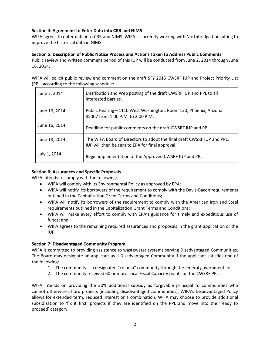## **Section 4: Agreement to Enter Data into CBR and NIMS**

WIFA agrees to enter data into CBR and NIMS. WIFA is currently working with Northbridge Consulting to improve the historical data in NIMS.

## **Section 5: Description of Public Notice Process and Actions Taken to Address Public Comments**

Public review and written comment period of this IUP will be conducted from June 2, 2014 through June 16, 2014.

WIFA will solicit public review and comment on the draft SFY 2015 CWSRF IUP and Project Priority List (PPL) according to the following schedule:

| June 2, 2014  | Distribution and Web posting of the draft CWSRF IUP and PPL to all<br>interested parties.                                   |
|---------------|-----------------------------------------------------------------------------------------------------------------------------|
| June 16, 2014 | Public Hearing - 1110 West Washington, Room 130, Phoenix, Arizona<br>85007 from 1:00 P.M. to 2:00 P.M.                      |
| June 16, 2014 | Deadline for public comments on the draft CWSRF IUP and PPL.                                                                |
| June 18, 2014 | The WIFA Board of Directors to adopt the final draft CWSRF IUP and PPL.<br>IUP will then be sent to EPA for final approval. |
| July 1, 2014  | Begin implementation of the Approved CWSRF IUP and PPL                                                                      |

## **Section 6: Assurances and Specific Proposals**

WIFA intends to comply with the following:

- WIFA will comply with its Environmental Policy as approved by EPA;
- WIFA will notify its borrowers of the requirement to comply with the Davis-Bacon requirements outlined in the Capitalization Grant Terms and Conditions;
- WIFA will notify its borrowers of the requirement to comply with the American Iron and Steel requirements outlined in the Capitalization Grant Terms and Conditions;
- WIFA will make every effort to comply with EPA's guidance for timely and expeditious use of funds; and
- WIFA agrees to the remaining required assurances and proposals in the grant application or the IUP.

## **Section 7: Disadvantaged Community Program**

WIFA is committed to providing assistance to wastewater systems serving Disadvantaged Communities. The Board may designate an applicant as a Disadvantaged Community if the applicant satisfies one of the following:

- 1. The community is a designated "colonia" community through the federal government, or
- 2. The community received 60 or more Local Fiscal Capacity points on the CWSRF PPL.

WIFA intends on providing the 20% additional subsidy as forgivable principal to communities who cannot otherwise afford projects (including disadvantaged communities). WIFA's Disadvantaged Policy allows for extended term, reduced interest or a combination. WIFA may choose to provide additional subsidization to 'fix it first' projects if they are identified on the PPL and move into the 'ready to proceed' category.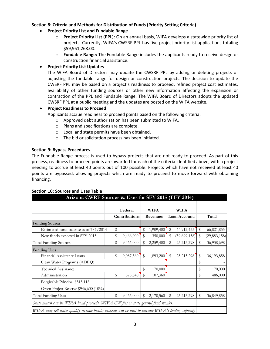## **Section 8: Criteria and Methods for Distribution of Funds (Priority Setting Criteria)**

- **Project Priority List and Fundable Range** 
	- o **Project Priority List (PPL):** On an annual basis, WIFA develops a statewide priority list of projects. Currently, WIFA's CWSRF PPL has five project priority list applications totaling \$59,951,268.00.
	- o **Fundable Range:** The Fundable Range includes the applicants ready to receive design or construction financial assistance.

## **Project Priority List Updates**

The WIFA Board of Directors may update the CWSRF PPL by adding or deleting projects or adjusting the fundable range for design or construction projects. The decision to update the CWSRF PPL may be based on a project's readiness to proceed, refined project cost estimates, availability of other funding sources or other new information affecting the expansion or contraction of the PPL and Fundable Range. The WIFA Board of Directors adopts the updated CWSRF PPL at a public meeting and the updates are posted on the WIFA website.

## **Project Readiness to Proceed**

Applicants accrue readiness to proceed points based on the following criteria:

- o Approved debt authorization has been submitted to WIFA.
- o Plans and specifications are complete.
- o Local and state permits have been obtained.
- o The bid or solicitation process has been initiated.

## **Section 9: Bypass Procedures**

The Fundable Range process is used to bypass projects that are not ready to proceed. As part of this process, readiness to proceed points are awarded for each of the criteria identified above, with a project needing to accrue at least 40 points out of 100 possible. Projects which have not received at least 40 points are bypassed, allowing projects which are ready to proceed to move forward with obtaining financing.

| Arizona CWRF Sources & Uses for SFY 2015 (FFY 2014)                                                  |    |                          |    |                         |    |                              |    |                |
|------------------------------------------------------------------------------------------------------|----|--------------------------|----|-------------------------|----|------------------------------|----|----------------|
|                                                                                                      |    | Federal<br>Contributions |    | <b>WIFA</b><br>Revenues |    | <b>WIFA</b><br>Loan Accounts |    | Total          |
| <b>Funding Sources</b>                                                                               |    |                          |    |                         |    |                              |    |                |
| Estimated fund balance as of $7/1/2014$                                                              | \$ |                          | \$ | 1,909,400               | \$ | 64,912,455                   | \$ | 66,821,855     |
| New funds expected in SFY 2015                                                                       | \$ | 9,466,000                | \$ | 350,000                 | \$ | (39,699,158)                 | \$ | (29, 883, 158) |
| <b>Total Funding Sources</b>                                                                         | \$ | 9,466,000                | \$ | 2,259,400               | \$ | 25,213,298                   | \$ | 36,938,698     |
| <b>Funding Uses</b>                                                                                  |    |                          |    |                         |    |                              |    |                |
| Finangal Assistance Loans                                                                            | \$ | 9,087,360                | \$ | 1,893,200               | \$ | 25,213,298                   | \$ | 36, 193, 858   |
| Clean Water Programs (ADEQ)                                                                          |    |                          |    |                         |    |                              | \$ |                |
| Technical Assistance                                                                                 |    |                          | \$ | 170,000                 |    |                              | \$ | 170,000        |
| Administration                                                                                       | \$ | 378,640                  | \$ | 107,360                 |    |                              | \$ | 486,000        |
| Forgivable Principal \$515,118                                                                       |    |                          |    |                         |    |                              |    |                |
| Green Project Reserve \$946,600 (10%)                                                                |    |                          |    |                         |    |                              |    |                |
| <b>Total Funding Uses</b>                                                                            | \$ | 9,466,000                | \$ | 2,170,560               | \$ | 25,213,298                   | \$ | 36,849,858     |
| State match can be WIFA bond proceeds, WIFA CW fees or state general fund monies.                    |    |                          |    |                         |    |                              |    |                |
| WIFA may sell water quality revenue bonds; proceeds will be used to increase WIFA's lending capacity |    |                          |    |                         |    |                              |    |                |

#### **Section 10: Sources and Uses Table**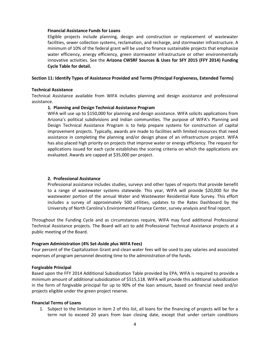#### **Financial Assistance Funds for Loans**

Eligible projects include planning, design and construction or replacement of wastewater facilities, sewer collection systems, reclamation, and recharge, and stormwater infrastructure. A minimum of 10% of the federal grant will be used to finance sustainable projects that emphasize water efficiency, energy efficiency, green stormwater infrastructure or other environmentally innovative activities. See the **Arizona CWSRF Sources & Uses for SFY 2015 (FFY 2014) Funding Cycle Table for detail.**

#### **Section 11: Identify Types of Assistance Provided and Terms (Principal Forgiveness, Extended Terms)**

#### **Technical Assistance**

Technical Assistance available from WIFA includes planning and design assistance and professional assistance.

#### **1. Planning and Design Technical Assistance Program**

WIFA will use up to \$150,000 for planning and design assistance. WIFA solicits applications from Arizona's political subdivisions and Indian communities. The purpose of WIFA's Planning and Design Technical Assistance Program is to help prepare systems for construction of capital improvement projects. Typically, awards are made to facilities with limited resources that need assistance in completing the planning and/or design phase of an infrastructure project. WIFA has also placed high priority on projects that improve water or energy efficiency. The request for applications issued for each cycle establishes the scoring criteria on which the applications are evaluated. Awards are capped at \$35,000 per project.

#### **2. Professional Assistance**

Professional assistance includes studies, surveys and other types of reports that provide benefit to a range of wastewater systems statewide. This year, WIFA will provide \$20,000 for the wastewater portion of the annual Water and Wastewater Residential Rate Survey. This effort includes a survey of approximately 500 utilities, updates to the Rates Dashboard by the University of North Carolina's Environmental Finance Center, survey analysis and final report.

Throughout the Funding Cycle and as circumstances require, WIFA may fund additional Professional Technical Assistance projects. The Board will act to add Professional Technical Assistance projects at a public meeting of the Board.

#### **Program Administration (4% Set-Aside plus WIFA Fees)**

Four percent of the Capitalization Grant and clean water fees will be used to pay salaries and associated expenses of program personnel devoting time to the administration of the funds.

#### **Forgivable Principal**

Based upon the FFY 2014 Additional Subsidization Table provided by EPA, WIFA is required to provide a minimum amount of additional subsidization of \$515,118. WIFA will provide this additional subsidization in the form of forgivable principal for up to 90% of the loan amount, based on financial need and/or projects eligible under the green project reserve.

#### **Financial Terms of Loans**

1. Subject to the limitation in item 2 of this list, all loans for the financing of projects will be for a term not to exceed 20 years from loan closing date, except that under certain conditions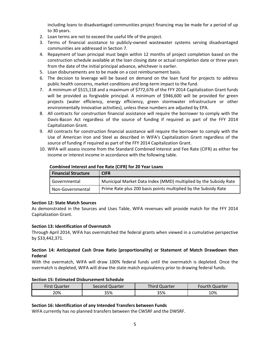including loans to disadvantaged communities project financing may be made for a period of up to 30 years.

- 2. Loan terms are not to exceed the useful life of the project.
- 3. Terms of financial assistance to publicly-owned wastewater systems serving disadvantaged communities are addressed in Section 7.
- 4. Repayment of loan principal must begin within 12 months of project completion based on the construction schedule available at the loan closing date or actual completion date or three years from the date of the initial principal advance, whichever is earlier.
- 5. Loan disbursements are to be made on a cost reimbursement basis.
- 6. The decision to leverage will be based on demand on the loan fund for projects to address public health concerns, market conditions and long-term impact to the fund.
- 7. A minimum of \$515,118 and a maximum of \$772,676 of the FFY 2014 Capitalization Grant funds will be provided as forgivable principal. A minimum of \$946,600 will be provided for green projects (water efficiency, energy efficiency, green stormwater infrastructure or other environmentally innovative activities), unless these numbers are adjusted by EPA.
- 8. All contracts for construction financial assistance will require the borrower to comply with the Davis-Bacon Act regardless of the source of funding if required as part of the FFY 2014 Capitalization Grant.
- 9. All contracts for construction financial assistance will require the borrower to comply with the Use of American Iron and Steel as described in WIFA's Capitalization Grant regardless of the source of funding if required as part of the FFY 2014 Capitalization Grant.
- 10. WIFA will assess income from the Standard Combined Interest and Fee Rate (CIFR) as either fee income or interest income in accordance with the following table.

| <b>Financial Structure</b> | <b>CIFR</b>                                                      |
|----------------------------|------------------------------------------------------------------|
| Governmental               | Municipal Market Data Index (MMD) multiplied by the Subsidy Rate |
| Non-Governmental           | Prime Rate plus 200 basis points multiplied by the Subsidy Rate  |

#### **Combined Interest and Fee Rate (CIFR) for 20 Year Loans**

## **Section 12: State Match Sources**

As demonstrated in the Sources and Uses Table, WIFA revenues will provide match for the FFY 2014 Capitalization Grant.

## **Section 13: Identification of Overmatch**

Through April 2014, WIFA has overmatched the federal grants when viewed in a cumulative perspective by \$33,442,371.

## **Section 14: Anticipated Cash Draw Ratio (proportionality) or Statement of Match Drawdown then Federal**

With the overmatch, WIFA will draw 100% federal funds until the overmatch is depleted. Once the overmatch is depleted, WIFA will draw the state match equivalency prior to drawing federal funds.

## **Section 15: Estimated Disbursement Schedule**

| <b>First Quarter</b> | Second Quarter | <b>Third Quarter</b> | <b>Fourth Quarter</b> |
|----------------------|----------------|----------------------|-----------------------|
| 20%                  | 35%            | 35%                  | 10%                   |

## **Section 16: Identification of any Intended Transfers between Funds**

WIFA currently has no planned transfers between the CWSRF and the DWSRF.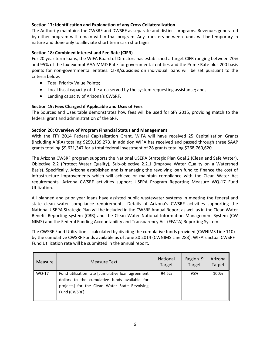## **Section 17: Identification and Explanation of any Cross Collateralization**

The Authority maintains the CWSRF and DWSRF as separate and distinct programs. Revenues generated by either program will remain within that program. Any transfers between funds will be temporary in nature and done only to alleviate short term cash shortages.

## **Section 18: Combined Interest and Fee Rate (CIFR)**

For 20 year term loans, the WIFA Board of Directors has established a target CIFR ranging between 70% and 95% of the tax-exempt AAA MMD Rate for governmental entities and the Prime Rate plus 200 basis points for non-governmental entities. CIFR/subsidies on individual loans will be set pursuant to the criteria below:

- **•** Total Priority Value Points;
- Local fiscal capacity of the area served by the system requesting assistance; and,
- Lending capacity of Arizona's CWSRF.

## **Section 19: Fees Charged if Applicable and Uses of Fees**

The Sources and Uses table demonstrates how fees will be used for SFY 2015, providing match to the federal grant and administration of the SRF.

## **Section 20: Overview of Program Financial Status and Management**

With the FFY 2014 Federal Capitalization Grant, WIFA will have received 25 Capitalization Grants (including ARRA) totaling \$259,139,273. In addition WIFA has received and passed through three SAAP grants totaling \$9,621,347 for a total federal investment of 28 grants totaling \$268,760,620.

The Arizona CWSRF program supports the National USEPA Strategic Plan Goal 2 (Clean and Safe Water), Objective 2.2 (Protect Water Quality), Sub-objective 2.2.1 (Improve Water Quality on a Watershed Basis). Specifically, Arizona established and is managing the revolving loan fund to finance the cost of infrastructure improvements which will achieve or maintain compliance with the Clean Water Act requirements. Arizona CWSRF activities support USEPA Program Reporting Measure WQ-17 Fund Utilization.

All planned and prior year loans have assisted public wastewater systems in meeting the federal and state clean water compliance requirements. Details of Arizona's CWSRF activities supporting the National USEPA Strategic Plan will be included in the CWSRF Annual Report as well as in the Clean Water Benefit Reporting system (CBR) and the Clean Water National Information Management System (CW NIMS) and the Federal Funding Accountability and Transparency Act (FFATA) Reporting System.

The CWSRF Fund Utilization is calculated by dividing the cumulative funds provided (CWNIMS Line 110) by the cumulative CWSRF Funds available as of June 30 2014 (CWNIMS Line 283). WIFA's actual CWSRF Fund Utilization rate will be submitted in the annual report.

| Measure | <b>Measure Text</b>                                                                                                                                                 | <b>National</b><br>Target | Region 9<br>Target | Arizona<br>Target |
|---------|---------------------------------------------------------------------------------------------------------------------------------------------------------------------|---------------------------|--------------------|-------------------|
| WQ-17   | Fund utilization rate [cumulative loan agreement<br>dollars to the cumulative funds available for<br>projects] for the Clean Water State Revolving<br>Fund (CWSRF). | 94.5%                     | 95%                | 100%              |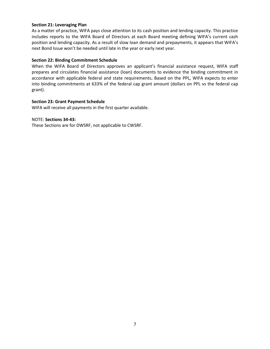### **Section 21: Leveraging Plan**

As a matter of practice, WIFA pays close attention to its cash position and lending capacity. This practice includes reports to the WIFA Board of Directors at each Board meeting defining WIFA's current cash position and lending capacity. As a result of slow loan demand and prepayments, it appears that WIFA's next Bond Issue won't be needed until late in the year or early next year.

### **Section 22: Binding Commitment Schedule**

When the WIFA Board of Directors approves an applicant's financial assistance request, WIFA staff prepares and circulates financial assistance (loan) documents to evidence the binding commitment in accordance with applicable federal and state requirements**.** Based on the PPL, WIFA expects to enter into binding commitments at 633% of the federal cap grant amount (dollars on PPL vs the federal cap grant).

### **Section 23: Grant Payment Schedule**

WIFA will receive all payments in the first quarter available.

#### NOTE: **Sections 34-43:**

These Sections are for DWSRF, not applicable to CWSRF.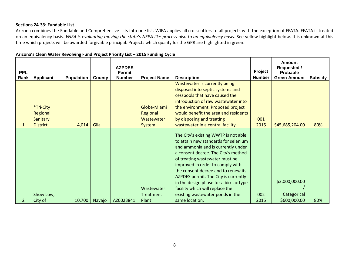## **Sections 24-33: Fundable List**

Arizona combines the Fundable and Comprehensive lists into one list. WIFA applies all crosscutters to all projects with the exception of FFATA. FFATA is treated on an equivalency basis. *WIFA is evaluating moving the state's NEPA like process also to an equivalency basis*. See yellow highlight below. It is unknown at this time which projects will be awarded forgivable principal. Projects which qualify for the GPR are highlighted in green.

| <b>PPL</b><br>Rank | <b>Applicant</b>                                     | <b>Population</b> | County | <b>AZPDES</b><br><b>Permit</b><br><b>Number</b> | <b>Project Name</b>                                    | <b>Description</b>                                                                                                                                                                                                                                                                                                                                                                                                                                | Project<br><b>Number</b> | <b>Amount</b><br><b>Requested /</b><br><b>Probable</b><br><b>Green Amount</b> | Subsidy |
|--------------------|------------------------------------------------------|-------------------|--------|-------------------------------------------------|--------------------------------------------------------|---------------------------------------------------------------------------------------------------------------------------------------------------------------------------------------------------------------------------------------------------------------------------------------------------------------------------------------------------------------------------------------------------------------------------------------------------|--------------------------|-------------------------------------------------------------------------------|---------|
| $\mathbf{1}$       | *Tri-City<br>Regional<br>Sanitary<br><b>District</b> | 4,014             | Gila   |                                                 | Globe-Miami<br>Regional<br><b>Wastewater</b><br>System | Wastewater is currently being<br>disposed into septic systems and<br>cesspools that have caused the<br>introduction of raw wastewater into<br>the environment. Proposed project<br>would benefit the area and residents<br>by disposing and treating<br>wastewater in a central facility.                                                                                                                                                         | 001<br>2015              | \$45,685,204.00                                                               | 80%     |
| 2                  | Show Low,<br>City of                                 | 10,700            | Navajo | AZ0023841                                       | Wastewater<br><b>Treatment</b><br>Plant                | The City's existing WWTP is not able<br>to attain new standards for selenium<br>and ammonia and is currently under<br>a consent decree. The City's method<br>of treating wastewater must be<br>improved in order to comply with<br>the consent decree and to renew its<br>AZPDES permit. The City is currently<br>in the design phase for a bio-lac type<br>facility which will replace the<br>existing wastewater ponds in the<br>same location. | 002<br>2015              | \$3,000,000.00<br>Categorical<br>\$600,000.00                                 | 80%     |

#### **Arizona's Clean Water Revolving Fund Project Priority List – 2015 Funding Cycle**